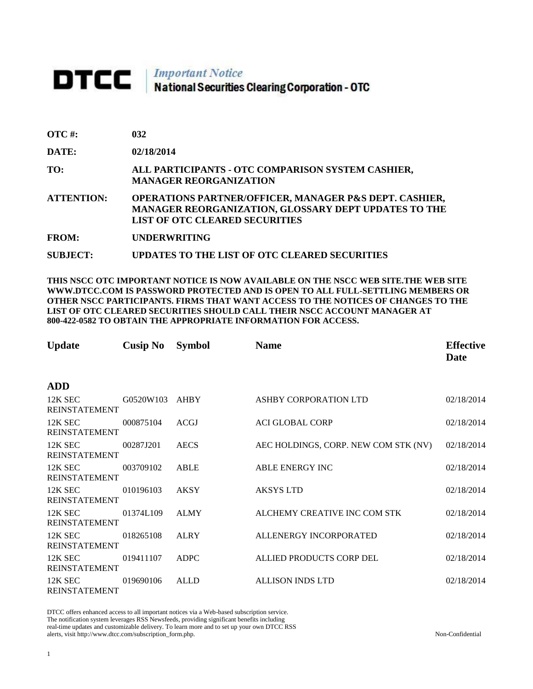## **DTCC** National Securities Clearing Corporation - OTC

| <b>OTC#:</b>      | 032                                                                                                                                                                       |
|-------------------|---------------------------------------------------------------------------------------------------------------------------------------------------------------------------|
| DATE:             | 02/18/2014                                                                                                                                                                |
| TO:               | ALL PARTICIPANTS - OTC COMPARISON SYSTEM CASHIER,<br><b>MANAGER REORGANIZATION</b>                                                                                        |
| <b>ATTENTION:</b> | <b>OPERATIONS PARTNER/OFFICER, MANAGER P&amp;S DEPT. CASHIER,</b><br><b>MANAGER REORGANIZATION, GLOSSARY DEPT UPDATES TO THE</b><br><b>LIST OF OTC CLEARED SECURITIES</b> |
| <b>FROM:</b>      | <b>UNDERWRITING</b>                                                                                                                                                       |

**SUBJECT: UPDATES TO THE LIST OF OTC CLEARED SECURITIES**

**THIS NSCC OTC IMPORTANT NOTICE IS NOW AVAILABLE ON THE NSCC WEB SITE.THE WEB SITE WWW.DTCC.COM IS PASSWORD PROTECTED AND IS OPEN TO ALL FULL-SETTLING MEMBERS OR OTHER NSCC PARTICIPANTS. FIRMS THAT WANT ACCESS TO THE NOTICES OF CHANGES TO THE LIST OF OTC CLEARED SECURITIES SHOULD CALL THEIR NSCC ACCOUNT MANAGER AT 800-422-0582 TO OBTAIN THE APPROPRIATE INFORMATION FOR ACCESS.** 

| <b>Update</b>                     | <b>Cusip No</b> | <b>Symbol</b> | <b>Name</b>                          | <b>Effective</b><br>Date |
|-----------------------------------|-----------------|---------------|--------------------------------------|--------------------------|
| <b>ADD</b>                        |                 |               |                                      |                          |
| 12K SEC<br><b>REINSTATEMENT</b>   | G0520W103       | <b>AHBY</b>   | ASHBY CORPORATION LTD                | 02/18/2014               |
| 12K SEC<br><b>REINSTATEMENT</b>   | 000875104       | <b>ACGJ</b>   | <b>ACI GLOBAL CORP</b>               | 02/18/2014               |
| 12K SEC<br><b>REINSTATEMENT</b>   | 00287J201       | <b>AECS</b>   | AEC HOLDINGS, CORP. NEW COM STK (NV) | 02/18/2014               |
| 12K SEC<br><b>REINSTATEMENT</b>   | 003709102       | <b>ABLE</b>   | ABLE ENERGY INC                      | 02/18/2014               |
| 12K SEC<br><b>REINSTATEMENT</b>   | 010196103       | <b>AKSY</b>   | <b>AKSYS LTD</b>                     | 02/18/2014               |
| $12K$ SEC<br><b>REINSTATEMENT</b> | 01374L109       | <b>ALMY</b>   | ALCHEMY CREATIVE INC COM STK         | 02/18/2014               |
| 12K SEC<br><b>REINSTATEMENT</b>   | 018265108       | <b>ALRY</b>   | ALLENERGY INCORPORATED               | 02/18/2014               |
| 12K SEC<br><b>REINSTATEMENT</b>   | 019411107       | <b>ADPC</b>   | ALLIED PRODUCTS CORP DEL             | 02/18/2014               |
| 12K SEC<br><b>REINSTATEMENT</b>   | 019690106       | <b>ALLD</b>   | <b>ALLISON INDS LTD</b>              | 02/18/2014               |

DTCC offers enhanced access to all important notices via a Web-based subscription service. The notification system leverages RSS Newsfeeds, providing significant benefits including real-time updates and customizable delivery. To learn more and to set up your own DTCC RSS alerts, visit http://www.dtcc.com/subscription\_form.php. Non-Confidential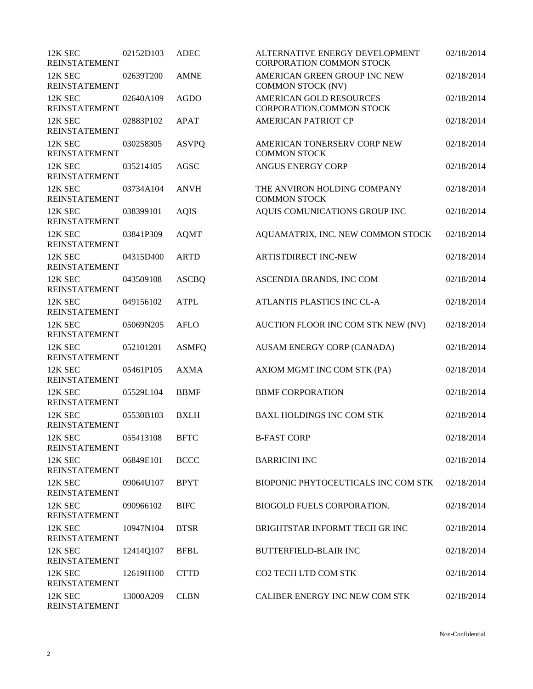| 12K SEC<br><b>REINSTATEMENT</b> | 02152D103 | <b>ADEC</b>  | ALTERNATIVE ENERGY DEVELOPMENT<br><b>CORPORATION COMMON STOCK</b> | 02/18/2014 |
|---------------------------------|-----------|--------------|-------------------------------------------------------------------|------------|
| 12K SEC<br><b>REINSTATEMENT</b> | 02639T200 | <b>AMNE</b>  | AMERICAN GREEN GROUP INC NEW<br><b>COMMON STOCK (NV)</b>          | 02/18/2014 |
| 12K SEC<br><b>REINSTATEMENT</b> | 02640A109 | <b>AGDO</b>  | <b>AMERICAN GOLD RESOURCES</b><br>CORPORATION.COMMON STOCK        | 02/18/2014 |
| 12K SEC<br><b>REINSTATEMENT</b> | 02883P102 | <b>APAT</b>  | <b>AMERICAN PATRIOT CP</b>                                        | 02/18/2014 |
| 12K SEC<br><b>REINSTATEMENT</b> | 030258305 | <b>ASVPQ</b> | AMERICAN TONERSERV CORP NEW<br><b>COMMON STOCK</b>                | 02/18/2014 |
| 12K SEC<br><b>REINSTATEMENT</b> | 035214105 | AGSC         | ANGUS ENERGY CORP                                                 | 02/18/2014 |
| 12K SEC<br><b>REINSTATEMENT</b> | 03734A104 | <b>ANVH</b>  | THE ANVIRON HOLDING COMPANY<br><b>COMMON STOCK</b>                | 02/18/2014 |
| 12K SEC<br><b>REINSTATEMENT</b> | 038399101 | <b>AQIS</b>  | AQUIS COMUNICATIONS GROUP INC                                     | 02/18/2014 |
| 12K SEC<br><b>REINSTATEMENT</b> | 03841P309 | <b>AQMT</b>  | AQUAMATRIX, INC. NEW COMMON STOCK                                 | 02/18/2014 |
| 12K SEC<br><b>REINSTATEMENT</b> | 04315D400 | <b>ARTD</b>  | <b>ARTISTDIRECT INC-NEW</b>                                       | 02/18/2014 |
| 12K SEC<br><b>REINSTATEMENT</b> | 043509108 | <b>ASCBQ</b> | ASCENDIA BRANDS, INC COM                                          | 02/18/2014 |
| 12K SEC<br><b>REINSTATEMENT</b> | 049156102 | <b>ATPL</b>  | ATLANTIS PLASTICS INC CL-A                                        | 02/18/2014 |
| 12K SEC<br><b>REINSTATEMENT</b> | 05069N205 | <b>AFLO</b>  | AUCTION FLOOR INC COM STK NEW (NV)                                | 02/18/2014 |
| 12K SEC<br><b>REINSTATEMENT</b> | 052101201 | <b>ASMFQ</b> | AUSAM ENERGY CORP (CANADA)                                        | 02/18/2014 |
| 12K SEC<br><b>REINSTATEMENT</b> | 05461P105 | <b>AXMA</b>  | AXIOM MGMT INC COM STK (PA)                                       | 02/18/2014 |
| 12K SEC<br><b>REINSTATEMENT</b> | 05529L104 | <b>BBMF</b>  | <b>BBMF CORPORATION</b>                                           | 02/18/2014 |
| 12K SEC<br><b>REINSTATEMENT</b> | 05530B103 | <b>BXLH</b>  | <b>BAXL HOLDINGS INC COM STK</b>                                  | 02/18/2014 |
| 12K SEC<br><b>REINSTATEMENT</b> | 055413108 | <b>BFTC</b>  | <b>B-FAST CORP</b>                                                | 02/18/2014 |
| 12K SEC<br><b>REINSTATEMENT</b> | 06849E101 | <b>BCCC</b>  | <b>BARRICINI INC</b>                                              | 02/18/2014 |
| 12K SEC<br><b>REINSTATEMENT</b> | 09064U107 | <b>BPYT</b>  | BIOPONIC PHYTOCEUTICALS INC COM STK                               | 02/18/2014 |
| 12K SEC<br><b>REINSTATEMENT</b> | 090966102 | <b>BIFC</b>  | <b>BIOGOLD FUELS CORPORATION.</b>                                 | 02/18/2014 |
| 12K SEC<br><b>REINSTATEMENT</b> | 10947N104 | <b>BTSR</b>  | BRIGHTSTAR INFORMT TECH GR INC                                    | 02/18/2014 |
| 12K SEC<br><b>REINSTATEMENT</b> | 12414Q107 | <b>BFBL</b>  | <b>BUTTERFIELD-BLAIR INC</b>                                      | 02/18/2014 |
| 12K SEC<br><b>REINSTATEMENT</b> | 12619H100 | <b>CTTD</b>  | CO2 TECH LTD COM STK                                              | 02/18/2014 |
| 12K SEC<br><b>REINSTATEMENT</b> | 13000A209 | <b>CLBN</b>  | CALIBER ENERGY INC NEW COM STK                                    | 02/18/2014 |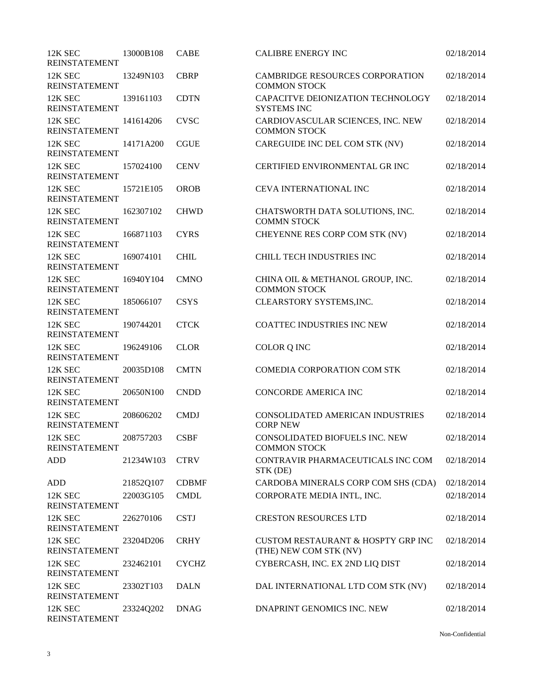| 12K SEC<br><b>REINSTATEMENT</b> | 13000B108 | <b>CABE</b>  | <b>CALIBRE ENERGY INC</b>                                               | 02/18/2014 |
|---------------------------------|-----------|--------------|-------------------------------------------------------------------------|------------|
| 12K SEC<br><b>REINSTATEMENT</b> | 13249N103 | <b>CBRP</b>  | <b>CAMBRIDGE RESOURCES CORPORATION</b><br><b>COMMON STOCK</b>           | 02/18/2014 |
| 12K SEC<br><b>REINSTATEMENT</b> | 139161103 | <b>CDTN</b>  | CAPACITVE DEIONIZATION TECHNOLOGY<br><b>SYSTEMS INC</b>                 | 02/18/2014 |
| 12K SEC<br><b>REINSTATEMENT</b> | 141614206 | <b>CVSC</b>  | CARDIOVASCULAR SCIENCES, INC. NEW<br><b>COMMON STOCK</b>                | 02/18/2014 |
| 12K SEC<br><b>REINSTATEMENT</b> | 14171A200 | <b>CGUE</b>  | CAREGUIDE INC DEL COM STK (NV)                                          | 02/18/2014 |
| 12K SEC<br><b>REINSTATEMENT</b> | 157024100 | <b>CENV</b>  | CERTIFIED ENVIRONMENTAL GR INC                                          | 02/18/2014 |
| 12K SEC<br><b>REINSTATEMENT</b> | 15721E105 | <b>OROB</b>  | CEVA INTERNATIONAL INC                                                  | 02/18/2014 |
| 12K SEC<br><b>REINSTATEMENT</b> | 162307102 | <b>CHWD</b>  | CHATSWORTH DATA SOLUTIONS, INC.<br><b>COMMN STOCK</b>                   | 02/18/2014 |
| 12K SEC<br><b>REINSTATEMENT</b> | 166871103 | <b>CYRS</b>  | CHEYENNE RES CORP COM STK (NV)                                          | 02/18/2014 |
| 12K SEC<br><b>REINSTATEMENT</b> | 169074101 | <b>CHIL</b>  | CHILL TECH INDUSTRIES INC                                               | 02/18/2014 |
| 12K SEC<br><b>REINSTATEMENT</b> | 16940Y104 | <b>CMNO</b>  | CHINA OIL & METHANOL GROUP, INC.<br><b>COMMON STOCK</b>                 | 02/18/2014 |
| 12K SEC<br><b>REINSTATEMENT</b> | 185066107 | <b>CSYS</b>  | CLEARSTORY SYSTEMS, INC.                                                | 02/18/2014 |
| 12K SEC<br><b>REINSTATEMENT</b> | 190744201 | <b>CTCK</b>  | <b>COATTEC INDUSTRIES INC NEW</b>                                       | 02/18/2014 |
| 12K SEC<br><b>REINSTATEMENT</b> | 196249106 | <b>CLOR</b>  | COLOR Q INC                                                             | 02/18/2014 |
| 12K SEC<br><b>REINSTATEMENT</b> | 20035D108 | <b>CMTN</b>  | COMEDIA CORPORATION COM STK                                             | 02/18/2014 |
| 12K SEC<br><b>REINSTATEMENT</b> | 20650N100 | <b>CNDD</b>  | <b>CONCORDE AMERICA INC</b>                                             | 02/18/2014 |
| 12K SEC<br><b>REINSTATEMENT</b> | 208606202 | <b>CMDJ</b>  | CONSOLIDATED AMERICAN INDUSTRIES<br><b>CORP NEW</b>                     | 02/18/2014 |
| 12K SEC<br><b>REINSTATEMENT</b> | 208757203 | <b>CSBF</b>  | CONSOLIDATED BIOFUELS INC. NEW<br><b>COMMON STOCK</b>                   | 02/18/2014 |
| <b>ADD</b>                      | 21234W103 | <b>CTRV</b>  | CONTRAVIR PHARMACEUTICALS INC COM<br>STK (DE)                           | 02/18/2014 |
| ADD                             | 21852Q107 | <b>CDBMF</b> | CARDOBA MINERALS CORP COM SHS (CDA)                                     | 02/18/2014 |
| 12K SEC<br><b>REINSTATEMENT</b> | 22003G105 | <b>CMDL</b>  | CORPORATE MEDIA INTL, INC.                                              | 02/18/2014 |
| 12K SEC<br><b>REINSTATEMENT</b> | 226270106 | <b>CSTJ</b>  | <b>CRESTON RESOURCES LTD</b>                                            | 02/18/2014 |
| 12K SEC<br><b>REINSTATEMENT</b> | 23204D206 | <b>CRHY</b>  | <b>CUSTOM RESTAURANT &amp; HOSPTY GRP INC</b><br>(THE) NEW COM STK (NV) | 02/18/2014 |
| 12K SEC<br><b>REINSTATEMENT</b> | 232462101 | <b>CYCHZ</b> | CYBERCASH, INC. EX 2ND LIQ DIST                                         | 02/18/2014 |
| 12K SEC<br><b>REINSTATEMENT</b> | 23302T103 | <b>DALN</b>  | DAL INTERNATIONAL LTD COM STK (NV)                                      | 02/18/2014 |
| 12K SEC<br><b>REINSTATEMENT</b> | 23324Q202 | <b>DNAG</b>  | DNAPRINT GENOMICS INC. NEW                                              | 02/18/2014 |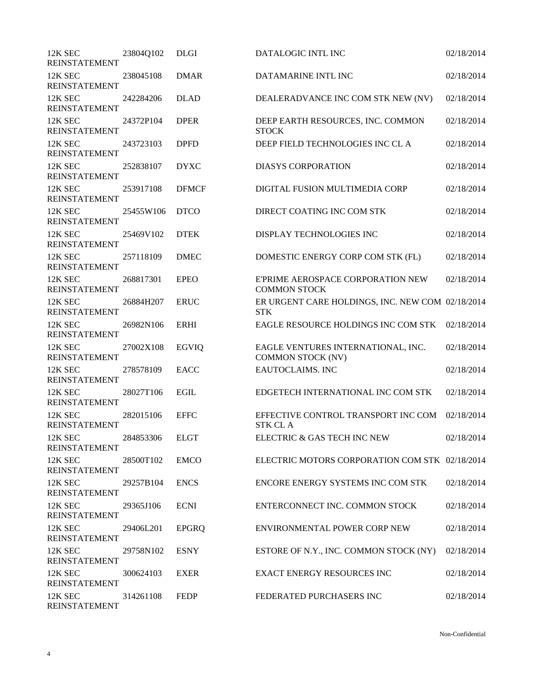| 12K SEC<br><b>REINSTATEMENT</b> | 23804Q102      | <b>DLGI</b>  | DATALOGIC INTL INC                                             | 02/18/2014 |
|---------------------------------|----------------|--------------|----------------------------------------------------------------|------------|
| 12K SEC<br><b>REINSTATEMENT</b> | 238045108      | <b>DMAR</b>  | DATAMARINE INTL INC                                            | 02/18/2014 |
| 12K SEC<br><b>REINSTATEMENT</b> | 242284206      | <b>DLAD</b>  | DEALERADVANCE INC COM STK NEW (NV)                             | 02/18/2014 |
| 12K SEC<br><b>REINSTATEMENT</b> | 24372P104      | <b>DPER</b>  | DEEP EARTH RESOURCES, INC. COMMON<br><b>STOCK</b>              | 02/18/2014 |
| 12K SEC<br><b>REINSTATEMENT</b> | 243723103      | <b>DPFD</b>  | DEEP FIELD TECHNOLOGIES INC CL A                               | 02/18/2014 |
| 12K SEC<br>REINSTATEMENT        | 252838107      | <b>DYXC</b>  | <b>DIASYS CORPORATION</b>                                      | 02/18/2014 |
| 12K SEC<br><b>REINSTATEMENT</b> | 253917108      | <b>DFMCF</b> | DIGITAL FUSION MULTIMEDIA CORP                                 | 02/18/2014 |
| 12K SEC<br><b>REINSTATEMENT</b> | 25455W106      | <b>DTCO</b>  | DIRECT COATING INC COM STK                                     | 02/18/2014 |
| 12K SEC<br><b>REINSTATEMENT</b> | 25469V102      | <b>DTEK</b>  | DISPLAY TECHNOLOGIES INC                                       | 02/18/2014 |
| 12K SEC<br><b>REINSTATEMENT</b> | 257118109      | <b>DMEC</b>  | DOMESTIC ENERGY CORP COM STK (FL)                              | 02/18/2014 |
| 12K SEC<br><b>REINSTATEMENT</b> | 268817301      | <b>EPEO</b>  | E'PRIME AEROSPACE CORPORATION NEW<br><b>COMMON STOCK</b>       | 02/18/2014 |
| 12K SEC<br><b>REINSTATEMENT</b> | 26884H207      | <b>ERUC</b>  | ER URGENT CARE HOLDINGS, INC. NEW COM 02/18/2014<br><b>STK</b> |            |
| 12K SEC<br><b>REINSTATEMENT</b> | 26982N106      | <b>ERHI</b>  | EAGLE RESOURCE HOLDINGS INC COM STK                            | 02/18/2014 |
| 12K SEC<br><b>REINSTATEMENT</b> | 27002X108      | <b>EGVIQ</b> | EAGLE VENTURES INTERNATIONAL, INC.<br><b>COMMON STOCK (NV)</b> | 02/18/2014 |
| 12K SEC<br><b>REINSTATEMENT</b> | 278578109      | <b>EACC</b>  | <b>EAUTOCLAIMS. INC</b>                                        | 02/18/2014 |
| 12K SEC<br><b>REINSTATEMENT</b> | 28027T106      | <b>EGIL</b>  | EDGETECH INTERNATIONAL INC COM STK                             | 02/18/2014 |
| 12K SEC<br><b>REINSTATEMENT</b> | 282015106      | <b>EFFC</b>  | EFFECTIVE CONTROL TRANSPORT INC COM<br><b>STK CLA</b>          | 02/18/2014 |
| 12K SEC<br><b>REINSTATEMENT</b> | 284853306 ELGT |              | ELECTRIC & GAS TECH INC NEW                                    | 02/18/2014 |
| 12K SEC<br><b>REINSTATEMENT</b> | 28500T102      | <b>EMCO</b>  | ELECTRIC MOTORS CORPORATION COM STK 02/18/2014                 |            |
| 12K SEC<br><b>REINSTATEMENT</b> | 29257B104      | <b>ENCS</b>  | ENCORE ENERGY SYSTEMS INC COM STK                              | 02/18/2014 |
| 12K SEC<br><b>REINSTATEMENT</b> | 29365J106      | <b>ECNI</b>  | ENTERCONNECT INC. COMMON STOCK                                 | 02/18/2014 |
| 12K SEC<br><b>REINSTATEMENT</b> | 29406L201      | <b>EPGRQ</b> | ENVIRONMENTAL POWER CORP NEW                                   | 02/18/2014 |
| 12K SEC<br><b>REINSTATEMENT</b> | 29758N102      | <b>ESNY</b>  | ESTORE OF N.Y., INC. COMMON STOCK (NY)                         | 02/18/2014 |
| 12K SEC<br><b>REINSTATEMENT</b> | 300624103      | <b>EXER</b>  | <b>EXACT ENERGY RESOURCES INC</b>                              | 02/18/2014 |
| 12K SEC<br><b>REINSTATEMENT</b> | 314261108      | <b>FEDP</b>  | FEDERATED PURCHASERS INC                                       | 02/18/2014 |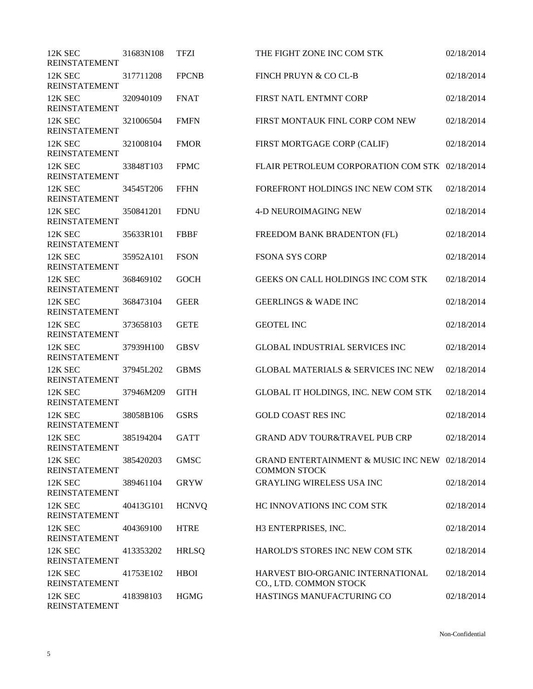| 12K SEC                         | 31683N108 | <b>TFZI</b>  | THE FIGHT ZONE INC COM STK                                            | 02/18/2014 |
|---------------------------------|-----------|--------------|-----------------------------------------------------------------------|------------|
| <b>REINSTATEMENT</b>            |           |              |                                                                       |            |
| 12K SEC<br><b>REINSTATEMENT</b> | 317711208 | <b>FPCNB</b> | FINCH PRUYN & CO CL-B                                                 | 02/18/2014 |
| 12K SEC<br><b>REINSTATEMENT</b> | 320940109 | <b>FNAT</b>  | FIRST NATL ENTMNT CORP                                                | 02/18/2014 |
| 12K SEC<br><b>REINSTATEMENT</b> | 321006504 | <b>FMFN</b>  | FIRST MONTAUK FINL CORP COM NEW                                       | 02/18/2014 |
| 12K SEC<br><b>REINSTATEMENT</b> | 321008104 | <b>FMOR</b>  | FIRST MORTGAGE CORP (CALIF)                                           | 02/18/2014 |
| 12K SEC<br><b>REINSTATEMENT</b> | 33848T103 | <b>FPMC</b>  | FLAIR PETROLEUM CORPORATION COM STK 02/18/2014                        |            |
| 12K SEC<br><b>REINSTATEMENT</b> | 34545T206 | <b>FFHN</b>  | FOREFRONT HOLDINGS INC NEW COM STK                                    | 02/18/2014 |
| 12K SEC<br><b>REINSTATEMENT</b> | 350841201 | <b>FDNU</b>  | <b>4-D NEUROIMAGING NEW</b>                                           | 02/18/2014 |
| 12K SEC<br><b>REINSTATEMENT</b> | 35633R101 | <b>FBBF</b>  | FREEDOM BANK BRADENTON (FL)                                           | 02/18/2014 |
| 12K SEC<br><b>REINSTATEMENT</b> | 35952A101 | <b>FSON</b>  | <b>FSONA SYS CORP</b>                                                 | 02/18/2014 |
| 12K SEC<br><b>REINSTATEMENT</b> | 368469102 | <b>GOCH</b>  | GEEKS ON CALL HOLDINGS INC COM STK                                    | 02/18/2014 |
| 12K SEC<br><b>REINSTATEMENT</b> | 368473104 | <b>GEER</b>  | <b>GEERLINGS &amp; WADE INC</b>                                       | 02/18/2014 |
| 12K SEC<br><b>REINSTATEMENT</b> | 373658103 | <b>GETE</b>  | <b>GEOTEL INC</b>                                                     | 02/18/2014 |
| 12K SEC<br><b>REINSTATEMENT</b> | 37939H100 | <b>GBSV</b>  | <b>GLOBAL INDUSTRIAL SERVICES INC</b>                                 | 02/18/2014 |
| 12K SEC<br><b>REINSTATEMENT</b> | 37945L202 | <b>GBMS</b>  | <b>GLOBAL MATERIALS &amp; SERVICES INC NEW</b>                        | 02/18/2014 |
| 12K SEC<br><b>REINSTATEMENT</b> | 37946M209 | <b>GITH</b>  | GLOBAL IT HOLDINGS, INC. NEW COM STK                                  | 02/18/2014 |
| 12K SEC<br><b>REINSTATEMENT</b> | 38058B106 | <b>GSRS</b>  | <b>GOLD COAST RES INC</b>                                             | 02/18/2014 |
| 12K SEC<br><b>REINSTATEMENT</b> | 385194204 | <b>GATT</b>  | <b>GRAND ADV TOUR&amp;TRAVEL PUB CRP</b>                              | 02/18/2014 |
| 12K SEC<br><b>REINSTATEMENT</b> | 385420203 | <b>GMSC</b>  | GRAND ENTERTAINMENT & MUSIC INC NEW 02/18/2014<br><b>COMMON STOCK</b> |            |
| 12K SEC<br><b>REINSTATEMENT</b> | 389461104 | <b>GRYW</b>  | <b>GRAYLING WIRELESS USA INC</b>                                      | 02/18/2014 |
| 12K SEC<br><b>REINSTATEMENT</b> | 40413G101 | <b>HCNVQ</b> | HC INNOVATIONS INC COM STK                                            | 02/18/2014 |
| 12K SEC<br><b>REINSTATEMENT</b> | 404369100 | <b>HTRE</b>  | H3 ENTERPRISES, INC.                                                  | 02/18/2014 |
| 12K SEC<br><b>REINSTATEMENT</b> | 413353202 | <b>HRLSQ</b> | HAROLD'S STORES INC NEW COM STK                                       | 02/18/2014 |
| 12K SEC<br><b>REINSTATEMENT</b> | 41753E102 | <b>HBOI</b>  | HARVEST BIO-ORGANIC INTERNATIONAL<br>CO., LTD. COMMON STOCK           | 02/18/2014 |
| 12K SEC<br><b>REINSTATEMENT</b> | 418398103 | <b>HGMG</b>  | HASTINGS MANUFACTURING CO                                             | 02/18/2014 |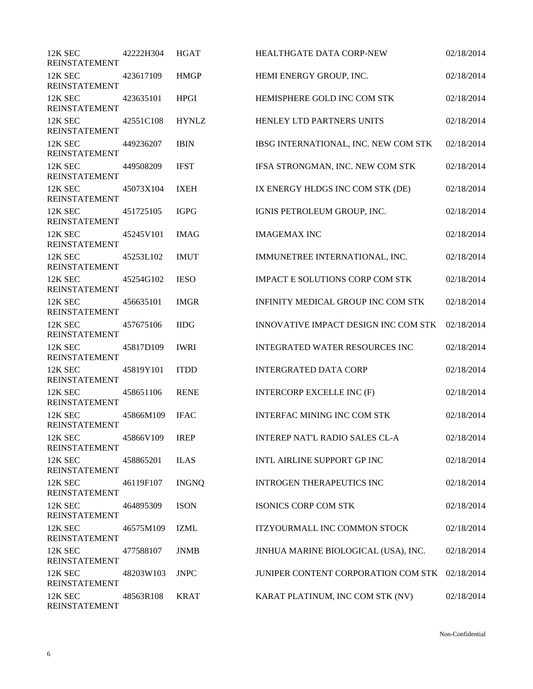| 12K SEC<br><b>REINSTATEMENT</b> | 42222H304 | <b>HGAT</b>  | <b>HEALTHGATE DATA CORP-NEW</b>        | 02/18/2014 |
|---------------------------------|-----------|--------------|----------------------------------------|------------|
| 12K SEC<br><b>REINSTATEMENT</b> | 423617109 | <b>HMGP</b>  | HEMI ENERGY GROUP, INC.                | 02/18/2014 |
| 12K SEC<br><b>REINSTATEMENT</b> | 423635101 | <b>HPGI</b>  | HEMISPHERE GOLD INC COM STK            | 02/18/2014 |
| 12K SEC<br><b>REINSTATEMENT</b> | 42551C108 | <b>HYNLZ</b> | HENLEY LTD PARTNERS UNITS              | 02/18/2014 |
| 12K SEC<br><b>REINSTATEMENT</b> | 449236207 | <b>IBIN</b>  | IBSG INTERNATIONAL, INC. NEW COM STK   | 02/18/2014 |
| 12K SEC<br>REINSTATEMENT        | 449508209 | <b>IFST</b>  | IFSA STRONGMAN, INC. NEW COM STK       | 02/18/2014 |
| 12K SEC<br><b>REINSTATEMENT</b> | 45073X104 | <b>IXEH</b>  | IX ENERGY HLDGS INC COM STK (DE)       | 02/18/2014 |
| 12K SEC<br><b>REINSTATEMENT</b> | 451725105 | <b>IGPG</b>  | IGNIS PETROLEUM GROUP, INC.            | 02/18/2014 |
| 12K SEC<br><b>REINSTATEMENT</b> | 45245V101 | <b>IMAG</b>  | <b>IMAGEMAX INC</b>                    | 02/18/2014 |
| 12K SEC<br><b>REINSTATEMENT</b> | 45253L102 | <b>IMUT</b>  | IMMUNETREE INTERNATIONAL, INC.         | 02/18/2014 |
| 12K SEC<br><b>REINSTATEMENT</b> | 45254G102 | <b>IESO</b>  | <b>IMPACT E SOLUTIONS CORP COM STK</b> | 02/18/2014 |
| 12K SEC<br>REINSTATEMENT        | 456635101 | <b>IMGR</b>  | INFINITY MEDICAL GROUP INC COM STK     | 02/18/2014 |
| 12K SEC<br><b>REINSTATEMENT</b> | 457675106 | <b>IIDG</b>  | INNOVATIVE IMPACT DESIGN INC COM STK   | 02/18/2014 |
| 12K SEC<br><b>REINSTATEMENT</b> | 45817D109 | <b>IWRI</b>  | <b>INTEGRATED WATER RESOURCES INC</b>  | 02/18/2014 |
| 12K SEC<br><b>REINSTATEMENT</b> | 45819Y101 | <b>ITDD</b>  | <b>INTERGRATED DATA CORP</b>           | 02/18/2014 |
| 12K SEC<br><b>REINSTATEMENT</b> | 458651106 | <b>RENE</b>  | <b>INTERCORP EXCELLE INC (F)</b>       | 02/18/2014 |
| 12K SEC<br><b>REINSTATEMENT</b> | 45866M109 | <b>IFAC</b>  | <b>INTERFAC MINING INC COM STK</b>     | 02/18/2014 |
| 12K SEC<br><b>REINSTATEMENT</b> | 45866V109 | <b>IREP</b>  | <b>INTEREP NAT'L RADIO SALES CL-A</b>  | 02/18/2014 |
| 12K SEC<br><b>REINSTATEMENT</b> | 458865201 | <b>ILAS</b>  | INTL AIRLINE SUPPORT GP INC            | 02/18/2014 |
| 12K SEC<br><b>REINSTATEMENT</b> | 46119F107 | <b>INGNQ</b> | <b>INTROGEN THERAPEUTICS INC</b>       | 02/18/2014 |
| 12K SEC<br>REINSTATEMENT        | 464895309 | <b>ISON</b>  | <b>ISONICS CORP COM STK</b>            | 02/18/2014 |
| 12K SEC<br><b>REINSTATEMENT</b> | 46575M109 | <b>IZML</b>  | <b>ITZYOURMALL INC COMMON STOCK</b>    | 02/18/2014 |
| 12K SEC<br><b>REINSTATEMENT</b> | 477588107 | <b>JNMB</b>  | JINHUA MARINE BIOLOGICAL (USA), INC.   | 02/18/2014 |
| 12K SEC<br><b>REINSTATEMENT</b> | 48203W103 | <b>JNPC</b>  | JUNIPER CONTENT CORPORATION COM STK    | 02/18/2014 |
| 12K SEC<br><b>REINSTATEMENT</b> | 48563R108 | <b>KRAT</b>  | KARAT PLATINUM, INC COM STK (NV)       | 02/18/2014 |

Non-Confidential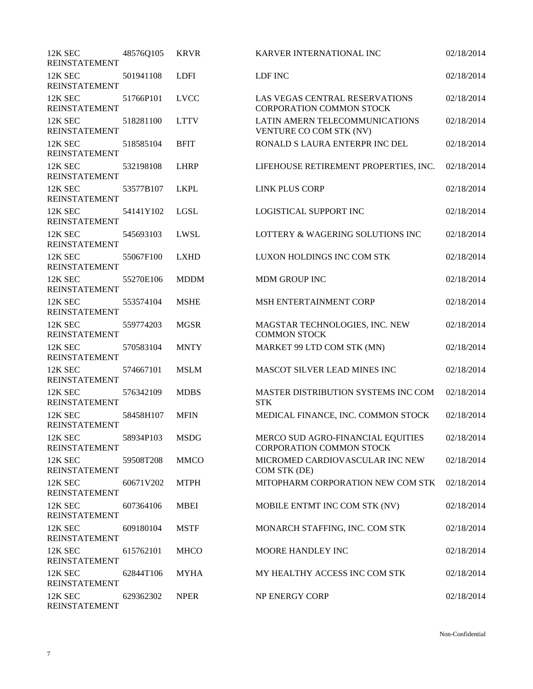| 12K SEC<br><b>REINSTATEMENT</b> | 48576Q105      | <b>KRVR</b> | KARVER INTERNATIONAL INC                                             | 02/18/2014 |
|---------------------------------|----------------|-------------|----------------------------------------------------------------------|------------|
| 12K SEC<br><b>REINSTATEMENT</b> | 501941108      | <b>LDFI</b> | LDF INC                                                              | 02/18/2014 |
| 12K SEC<br><b>REINSTATEMENT</b> | 51766P101      | <b>LVCC</b> | LAS VEGAS CENTRAL RESERVATIONS<br><b>CORPORATION COMMON STOCK</b>    | 02/18/2014 |
| 12K SEC<br><b>REINSTATEMENT</b> | 518281100      | <b>LTTV</b> | LATIN AMERN TELECOMMUNICATIONS<br>VENTURE CO COM STK (NV)            | 02/18/2014 |
| 12K SEC<br><b>REINSTATEMENT</b> | 518585104      | <b>BFIT</b> | RONALD S LAURA ENTERPR INC DEL                                       | 02/18/2014 |
| 12K SEC<br><b>REINSTATEMENT</b> | 532198108      | <b>LHRP</b> | LIFEHOUSE RETIREMENT PROPERTIES, INC.                                | 02/18/2014 |
| 12K SEC<br><b>REINSTATEMENT</b> | 53577B107      | <b>LKPL</b> | LINK PLUS CORP                                                       | 02/18/2014 |
| 12K SEC<br><b>REINSTATEMENT</b> | 54141Y102      | LGSL        | <b>LOGISTICAL SUPPORT INC</b>                                        | 02/18/2014 |
| 12K SEC<br><b>REINSTATEMENT</b> | 545693103      | LWSL        | LOTTERY & WAGERING SOLUTIONS INC                                     | 02/18/2014 |
| 12K SEC<br><b>REINSTATEMENT</b> | 55067F100      | <b>LXHD</b> | LUXON HOLDINGS INC COM STK                                           | 02/18/2014 |
| 12K SEC<br><b>REINSTATEMENT</b> | 55270E106      | <b>MDDM</b> | <b>MDM GROUP INC</b>                                                 | 02/18/2014 |
| 12K SEC<br><b>REINSTATEMENT</b> | 553574104      | <b>MSHE</b> | MSH ENTERTAINMENT CORP                                               | 02/18/2014 |
| 12K SEC<br><b>REINSTATEMENT</b> | 559774203      | <b>MGSR</b> | MAGSTAR TECHNOLOGIES, INC. NEW<br><b>COMMON STOCK</b>                | 02/18/2014 |
| 12K SEC<br><b>REINSTATEMENT</b> | 570583104      | <b>MNTY</b> | MARKET 99 LTD COM STK (MN)                                           | 02/18/2014 |
| 12K SEC<br><b>REINSTATEMENT</b> | 574667101      | <b>MSLM</b> | MASCOT SILVER LEAD MINES INC                                         | 02/18/2014 |
| 12K SEC<br><b>REINSTATEMENT</b> | 576342109      | <b>MDBS</b> | MASTER DISTRIBUTION SYSTEMS INC COM<br><b>STK</b>                    | 02/18/2014 |
| 12K SEC<br><b>REINSTATEMENT</b> | 58458H107      | <b>MFIN</b> | MEDICAL FINANCE, INC. COMMON STOCK                                   | 02/18/2014 |
| 12K SEC<br><b>REINSTATEMENT</b> | 58934P103 MSDG |             | MERCO SUD AGRO-FINANCIAL EQUITIES<br><b>CORPORATION COMMON STOCK</b> | 02/18/2014 |
| 12K SEC<br><b>REINSTATEMENT</b> | 59508T208      | <b>MMCO</b> | MICROMED CARDIOVASCULAR INC NEW<br>COM STK (DE)                      | 02/18/2014 |
| 12K SEC<br><b>REINSTATEMENT</b> | 60671V202      | <b>MTPH</b> | MITOPHARM CORPORATION NEW COM STK                                    | 02/18/2014 |
| 12K SEC<br><b>REINSTATEMENT</b> | 607364106      | <b>MBEI</b> | MOBILE ENTMT INC COM STK (NV)                                        | 02/18/2014 |
| 12K SEC<br><b>REINSTATEMENT</b> | 609180104      | <b>MSTF</b> | MONARCH STAFFING, INC. COM STK                                       | 02/18/2014 |
| 12K SEC<br><b>REINSTATEMENT</b> | 615762101      | <b>MHCO</b> | MOORE HANDLEY INC                                                    | 02/18/2014 |
| 12K SEC<br><b>REINSTATEMENT</b> | 62844T106      | <b>MYHA</b> | MY HEALTHY ACCESS INC COM STK                                        | 02/18/2014 |
| 12K SEC<br><b>REINSTATEMENT</b> | 629362302      | <b>NPER</b> | NP ENERGY CORP                                                       | 02/18/2014 |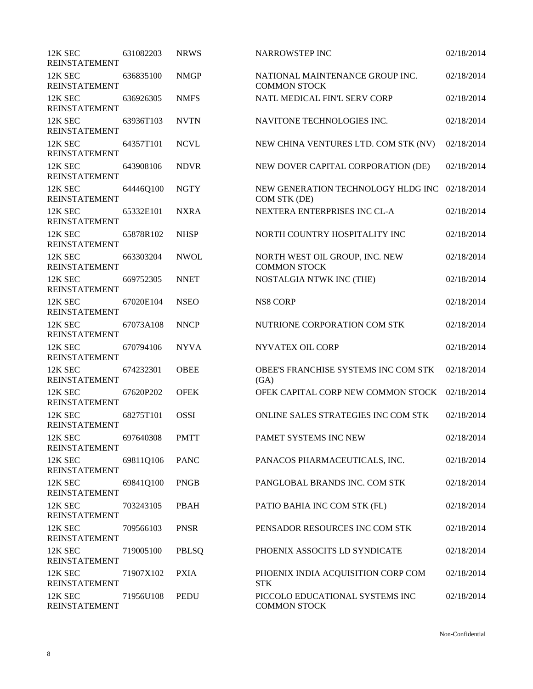| 12K SEC<br><b>REINSTATEMENT</b> | 631082203 | <b>NRWS</b> | <b>NARROWSTEP INC</b>                                  | 02/18/2014 |
|---------------------------------|-----------|-------------|--------------------------------------------------------|------------|
| 12K SEC<br><b>REINSTATEMENT</b> | 636835100 | <b>NMGP</b> | NATIONAL MAINTENANCE GROUP INC.<br><b>COMMON STOCK</b> | 02/18/2014 |
| 12K SEC<br><b>REINSTATEMENT</b> | 636926305 | <b>NMFS</b> | NATL MEDICAL FIN'L SERV CORP                           | 02/18/2014 |
| 12K SEC<br><b>REINSTATEMENT</b> | 63936T103 | <b>NVTN</b> | NAVITONE TECHNOLOGIES INC.                             | 02/18/2014 |
| 12K SEC<br><b>REINSTATEMENT</b> | 64357T101 | <b>NCVL</b> | NEW CHINA VENTURES LTD. COM STK (NV)                   | 02/18/2014 |
| 12K SEC<br><b>REINSTATEMENT</b> | 643908106 | <b>NDVR</b> | NEW DOVER CAPITAL CORPORATION (DE)                     | 02/18/2014 |
| 12K SEC<br>REINSTATEMENT        | 64446Q100 | <b>NGTY</b> | NEW GENERATION TECHNOLOGY HLDG INC<br>COM STK (DE)     | 02/18/2014 |
| 12K SEC<br><b>REINSTATEMENT</b> | 65332E101 | <b>NXRA</b> | NEXTERA ENTERPRISES INC CL-A                           | 02/18/2014 |
| 12K SEC<br><b>REINSTATEMENT</b> | 65878R102 | <b>NHSP</b> | NORTH COUNTRY HOSPITALITY INC                          | 02/18/2014 |
| 12K SEC<br><b>REINSTATEMENT</b> | 663303204 | <b>NWOL</b> | NORTH WEST OIL GROUP, INC. NEW<br><b>COMMON STOCK</b>  | 02/18/2014 |
| 12K SEC<br><b>REINSTATEMENT</b> | 669752305 | <b>NNET</b> | NOSTALGIA NTWK INC (THE)                               | 02/18/2014 |
| 12K SEC<br><b>REINSTATEMENT</b> | 67020E104 | <b>NSEO</b> | <b>NS8 CORP</b>                                        | 02/18/2014 |
| 12K SEC<br><b>REINSTATEMENT</b> | 67073A108 | <b>NNCP</b> | NUTRIONE CORPORATION COM STK                           | 02/18/2014 |
| 12K SEC<br><b>REINSTATEMENT</b> | 670794106 | <b>NYVA</b> | <b>NYVATEX OIL CORP</b>                                | 02/18/2014 |
| 12K SEC<br><b>REINSTATEMENT</b> | 674232301 | <b>OBEE</b> | OBEE'S FRANCHISE SYSTEMS INC COM STK<br>(GA)           | 02/18/2014 |
| 12K SEC<br><b>REINSTATEMENT</b> | 67620P202 | <b>OFEK</b> | OFEK CAPITAL CORP NEW COMMON STOCK                     | 02/18/2014 |
| 12K SEC<br><b>REINSTATEMENT</b> | 68275T101 | <b>OSSI</b> | ONLINE SALES STRATEGIES INC COM STK                    | 02/18/2014 |
| 12K SEC<br>REINSTATEMENT        | 697640308 | <b>PMTT</b> | PAMET SYSTEMS INC NEW                                  | 02/18/2014 |
| 12K SEC<br><b>REINSTATEMENT</b> | 69811Q106 | <b>PANC</b> | PANACOS PHARMACEUTICALS, INC.                          | 02/18/2014 |
| 12K SEC<br><b>REINSTATEMENT</b> | 69841Q100 | <b>PNGB</b> | PANGLOBAL BRANDS INC. COM STK                          | 02/18/2014 |
| 12K SEC<br><b>REINSTATEMENT</b> | 703243105 | PBAH        | PATIO BAHIA INC COM STK (FL)                           | 02/18/2014 |
| 12K SEC<br><b>REINSTATEMENT</b> | 709566103 | <b>PNSR</b> | PENSADOR RESOURCES INC COM STK                         | 02/18/2014 |
| 12K SEC<br><b>REINSTATEMENT</b> | 719005100 | PBLSQ       | PHOENIX ASSOCITS LD SYNDICATE                          | 02/18/2014 |
| 12K SEC<br><b>REINSTATEMENT</b> | 71907X102 | <b>PXIA</b> | PHOENIX INDIA ACQUISITION CORP COM<br><b>STK</b>       | 02/18/2014 |
| 12K SEC<br><b>REINSTATEMENT</b> | 71956U108 | <b>PEDU</b> | PICCOLO EDUCATIONAL SYSTEMS INC<br><b>COMMON STOCK</b> | 02/18/2014 |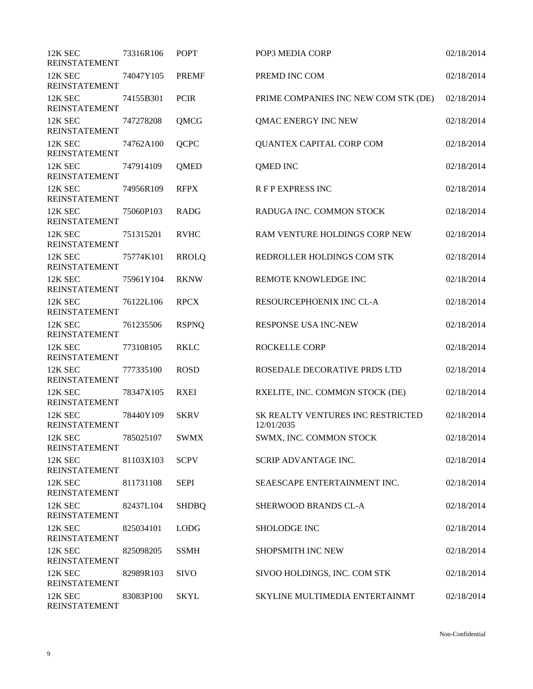| 12K SEC<br><b>REINSTATEMENT</b> | 73316R106 | <b>POPT</b>  | POP3 MEDIA CORP                                 | 02/18/2014 |
|---------------------------------|-----------|--------------|-------------------------------------------------|------------|
| 12K SEC<br><b>REINSTATEMENT</b> | 74047Y105 | <b>PREMF</b> | PREMD INC COM                                   | 02/18/2014 |
| 12K SEC<br><b>REINSTATEMENT</b> | 74155B301 | <b>PCIR</b>  | PRIME COMPANIES INC NEW COM STK (DE)            | 02/18/2014 |
| 12K SEC<br><b>REINSTATEMENT</b> | 747278208 | QMCG         | QMAC ENERGY INC NEW                             | 02/18/2014 |
| 12K SEC<br><b>REINSTATEMENT</b> | 74762A100 | <b>QCPC</b>  | QUANTEX CAPITAL CORP COM                        | 02/18/2014 |
| 12K SEC<br><b>REINSTATEMENT</b> | 747914109 | QMED         | <b>QMED INC</b>                                 | 02/18/2014 |
| 12K SEC<br><b>REINSTATEMENT</b> | 74956R109 | <b>RFPX</b>  | <b>RFP EXPRESS INC</b>                          | 02/18/2014 |
| 12K SEC<br><b>REINSTATEMENT</b> | 75060P103 | <b>RADG</b>  | RADUGA INC. COMMON STOCK                        | 02/18/2014 |
| 12K SEC<br><b>REINSTATEMENT</b> | 751315201 | <b>RVHC</b>  | RAM VENTURE HOLDINGS CORP NEW                   | 02/18/2014 |
| 12K SEC<br><b>REINSTATEMENT</b> | 75774K101 | <b>RROLQ</b> | REDROLLER HOLDINGS COM STK                      | 02/18/2014 |
| 12K SEC<br><b>REINSTATEMENT</b> | 75961Y104 | <b>RKNW</b>  | REMOTE KNOWLEDGE INC                            | 02/18/2014 |
| 12K SEC<br><b>REINSTATEMENT</b> | 76122L106 | <b>RPCX</b>  | RESOURCEPHOENIX INC CL-A                        | 02/18/2014 |
| 12K SEC<br><b>REINSTATEMENT</b> | 761235506 | <b>RSPNQ</b> | <b>RESPONSE USA INC-NEW</b>                     | 02/18/2014 |
| 12K SEC<br><b>REINSTATEMENT</b> | 773108105 | <b>RKLC</b>  | <b>ROCKELLE CORP</b>                            | 02/18/2014 |
| 12K SEC<br><b>REINSTATEMENT</b> | 777335100 | <b>ROSD</b>  | ROSEDALE DECORATIVE PRDS LTD                    | 02/18/2014 |
| 12K SEC<br><b>REINSTATEMENT</b> | 78347X105 | <b>RXEI</b>  | RXELITE, INC. COMMON STOCK (DE)                 | 02/18/2014 |
| 12K SEC<br><b>REINSTATEMENT</b> | 78440Y109 | <b>SKRV</b>  | SK REALTY VENTURES INC RESTRICTED<br>12/01/2035 | 02/18/2014 |
| 12K SEC<br><b>REINSTATEMENT</b> | 785025107 | <b>SWMX</b>  | SWMX, INC. COMMON STOCK                         | 02/18/2014 |
| 12K SEC<br><b>REINSTATEMENT</b> | 81103X103 | <b>SCPV</b>  | SCRIP ADVANTAGE INC.                            | 02/18/2014 |
| 12K SEC<br><b>REINSTATEMENT</b> | 811731108 | <b>SEPI</b>  | SEAESCAPE ENTERTAINMENT INC.                    | 02/18/2014 |
| 12K SEC<br><b>REINSTATEMENT</b> | 82437L104 | <b>SHDBQ</b> | SHERWOOD BRANDS CL-A                            | 02/18/2014 |
| 12K SEC<br><b>REINSTATEMENT</b> | 825034101 | <b>LODG</b>  | SHOLODGE INC                                    | 02/18/2014 |
| 12K SEC<br><b>REINSTATEMENT</b> | 825098205 | <b>SSMH</b>  | <b>SHOPSMITH INC NEW</b>                        | 02/18/2014 |
| 12K SEC<br><b>REINSTATEMENT</b> | 82989R103 | <b>SIVO</b>  | SIVOO HOLDINGS, INC. COM STK                    | 02/18/2014 |
| 12K SEC<br><b>REINSTATEMENT</b> | 83083P100 | <b>SKYL</b>  | SKYLINE MULTIMEDIA ENTERTAINMT                  | 02/18/2014 |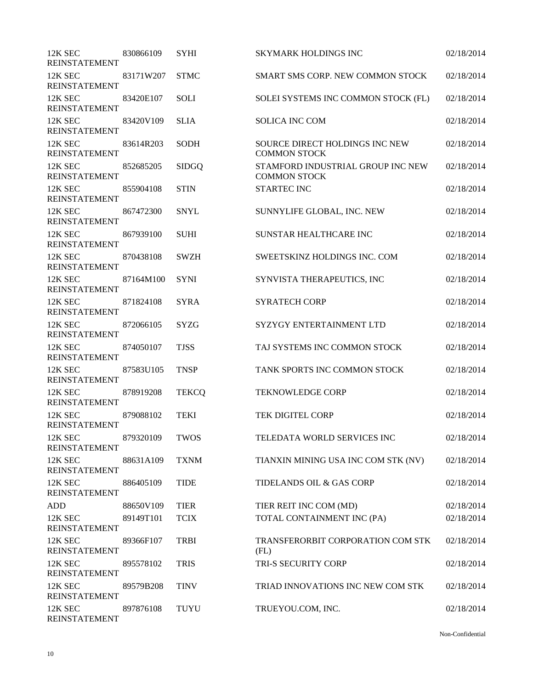| 12K SEC<br><b>REINSTATEMENT</b> | 830866109 | <b>SYHI</b>  | <b>SKYMARK HOLDINGS INC</b>                              | 02/18/2014 |
|---------------------------------|-----------|--------------|----------------------------------------------------------|------------|
| 12K SEC<br><b>REINSTATEMENT</b> | 83171W207 | <b>STMC</b>  | SMART SMS CORP. NEW COMMON STOCK                         | 02/18/2014 |
| 12K SEC<br><b>REINSTATEMENT</b> | 83420E107 | <b>SOLI</b>  | SOLEI SYSTEMS INC COMMON STOCK (FL)                      | 02/18/2014 |
| 12K SEC<br><b>REINSTATEMENT</b> | 83420V109 | <b>SLIA</b>  | <b>SOLICA INC COM</b>                                    | 02/18/2014 |
| 12K SEC<br><b>REINSTATEMENT</b> | 83614R203 | <b>SODH</b>  | SOURCE DIRECT HOLDINGS INC NEW<br><b>COMMON STOCK</b>    | 02/18/2014 |
| 12K SEC<br><b>REINSTATEMENT</b> | 852685205 | <b>SIDGQ</b> | STAMFORD INDUSTRIAL GROUP INC NEW<br><b>COMMON STOCK</b> | 02/18/2014 |
| 12K SEC<br><b>REINSTATEMENT</b> | 855904108 | <b>STIN</b>  | <b>STARTEC INC</b>                                       | 02/18/2014 |
| 12K SEC<br><b>REINSTATEMENT</b> | 867472300 | <b>SNYL</b>  | SUNNYLIFE GLOBAL, INC. NEW                               | 02/18/2014 |
| 12K SEC<br><b>REINSTATEMENT</b> | 867939100 | <b>SUHI</b>  | SUNSTAR HEALTHCARE INC                                   | 02/18/2014 |
| 12K SEC<br><b>REINSTATEMENT</b> | 870438108 | <b>SWZH</b>  | SWEETSKINZ HOLDINGS INC. COM                             | 02/18/2014 |
| 12K SEC<br><b>REINSTATEMENT</b> | 87164M100 | <b>SYNI</b>  | SYNVISTA THERAPEUTICS, INC                               | 02/18/2014 |
| 12K SEC<br><b>REINSTATEMENT</b> | 871824108 | <b>SYRA</b>  | <b>SYRATECH CORP</b>                                     | 02/18/2014 |
| 12K SEC<br><b>REINSTATEMENT</b> | 872066105 | <b>SYZG</b>  | SYZYGY ENTERTAINMENT LTD                                 | 02/18/2014 |
| 12K SEC<br><b>REINSTATEMENT</b> | 874050107 | <b>TJSS</b>  | TAJ SYSTEMS INC COMMON STOCK                             | 02/18/2014 |
| 12K SEC<br><b>REINSTATEMENT</b> | 87583U105 | <b>TNSP</b>  | TANK SPORTS INC COMMON STOCK                             | 02/18/2014 |
| 12K SEC<br><b>REINSTATEMENT</b> | 878919208 | <b>TEKCQ</b> | <b>TEKNOWLEDGE CORP</b>                                  | 02/18/2014 |
| 12K SEC<br><b>REINSTATEMENT</b> | 879088102 | <b>TEKI</b>  | TEK DIGITEL CORP                                         | 02/18/2014 |
| 12K SEC<br><b>REINSTATEMENT</b> | 879320109 | <b>TWOS</b>  | TELEDATA WORLD SERVICES INC                              | 02/18/2014 |
| 12K SEC<br><b>REINSTATEMENT</b> | 88631A109 | <b>TXNM</b>  | TIANXIN MINING USA INC COM STK (NV)                      | 02/18/2014 |
| 12K SEC<br><b>REINSTATEMENT</b> | 886405109 | <b>TIDE</b>  | TIDELANDS OIL & GAS CORP                                 | 02/18/2014 |
| <b>ADD</b>                      | 88650V109 | <b>TIER</b>  | TIER REIT INC COM (MD)                                   | 02/18/2014 |
| 12K SEC<br><b>REINSTATEMENT</b> | 89149T101 | <b>TCIX</b>  | TOTAL CONTAINMENT INC (PA)                               | 02/18/2014 |
| 12K SEC<br><b>REINSTATEMENT</b> | 89366F107 | <b>TRBI</b>  | TRANSFERORBIT CORPORATION COM STK<br>(FL)                | 02/18/2014 |
| 12K SEC<br><b>REINSTATEMENT</b> | 895578102 | <b>TRIS</b>  | TRI-S SECURITY CORP                                      | 02/18/2014 |
| 12K SEC<br><b>REINSTATEMENT</b> | 89579B208 | <b>TINV</b>  | TRIAD INNOVATIONS INC NEW COM STK                        | 02/18/2014 |
| 12K SEC<br><b>REINSTATEMENT</b> | 897876108 | TUYU         | TRUEYOU.COM, INC.                                        | 02/18/2014 |

Non-Confidential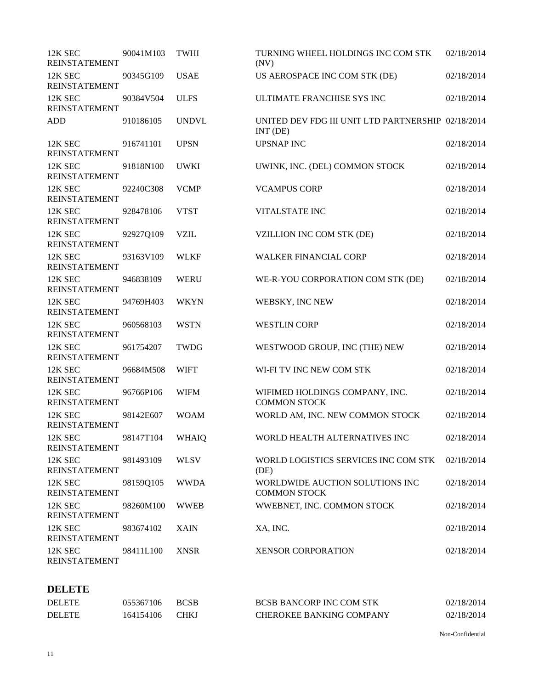| 12K SEC<br><b>REINSTATEMENT</b> | 90041M103       | <b>TWHI</b>  | TURNING WHEEL HOLDINGS INC COM STK<br>(NV)                           | 02/18/2014 |
|---------------------------------|-----------------|--------------|----------------------------------------------------------------------|------------|
| 12K SEC<br><b>REINSTATEMENT</b> | 90345G109       | <b>USAE</b>  | US AEROSPACE INC COM STK (DE)                                        | 02/18/2014 |
| 12K SEC<br><b>REINSTATEMENT</b> | 90384V504       | <b>ULFS</b>  | ULTIMATE FRANCHISE SYS INC                                           | 02/18/2014 |
| <b>ADD</b>                      | 910186105       | <b>UNDVL</b> | UNITED DEV FDG III UNIT LTD PARTNERSHIP 02/18/2014<br>$INT$ ( $DE$ ) |            |
| 12K SEC<br><b>REINSTATEMENT</b> | 916741101       | <b>UPSN</b>  | <b>UPSNAP INC</b>                                                    | 02/18/2014 |
| 12K SEC<br><b>REINSTATEMENT</b> | 91818N100       | <b>UWKI</b>  | UWINK, INC. (DEL) COMMON STOCK                                       | 02/18/2014 |
| 12K SEC<br><b>REINSTATEMENT</b> | 92240C308       | <b>VCMP</b>  | <b>VCAMPUS CORP</b>                                                  | 02/18/2014 |
| 12K SEC<br><b>REINSTATEMENT</b> | 928478106       | <b>VTST</b>  | <b>VITALSTATE INC</b>                                                | 02/18/2014 |
| 12K SEC<br><b>REINSTATEMENT</b> | 92927Q109       | <b>VZIL</b>  | VZILLION INC COM STK (DE)                                            | 02/18/2014 |
| 12K SEC<br><b>REINSTATEMENT</b> | 93163V109       | <b>WLKF</b>  | <b>WALKER FINANCIAL CORP</b>                                         | 02/18/2014 |
| 12K SEC<br><b>REINSTATEMENT</b> | 946838109       | <b>WERU</b>  | WE-R-YOU CORPORATION COM STK (DE)                                    | 02/18/2014 |
| 12K SEC<br><b>REINSTATEMENT</b> | 94769H403       | <b>WKYN</b>  | WEBSKY, INC NEW                                                      | 02/18/2014 |
| 12K SEC<br><b>REINSTATEMENT</b> | 960568103       | <b>WSTN</b>  | <b>WESTLIN CORP</b>                                                  | 02/18/2014 |
| 12K SEC<br><b>REINSTATEMENT</b> | 961754207       | TWDG         | WESTWOOD GROUP, INC (THE) NEW                                        | 02/18/2014 |
| 12K SEC<br><b>REINSTATEMENT</b> | 96684M508       | <b>WIFT</b>  | WI-FI TV INC NEW COM STK                                             | 02/18/2014 |
| 12K SEC<br><b>REINSTATEMENT</b> | 96766P106       | <b>WIFM</b>  | WIFIMED HOLDINGS COMPANY, INC.<br><b>COMMON STOCK</b>                | 02/18/2014 |
| 12K SEC<br><b>REINSTATEMENT</b> | 98142E607       | <b>WOAM</b>  | WORLD AM, INC. NEW COMMON STOCK                                      | 02/18/2014 |
| 12K SEC<br><b>REINSTATEMENT</b> | 98147T104 WHAIQ |              | WORLD HEALTH ALTERNATIVES INC                                        | 02/18/2014 |
| 12K SEC<br><b>REINSTATEMENT</b> | 981493109       | <b>WLSV</b>  | WORLD LOGISTICS SERVICES INC COM STK<br>(DE)                         | 02/18/2014 |
| 12K SEC<br><b>REINSTATEMENT</b> | 98159Q105       | <b>WWDA</b>  | WORLDWIDE AUCTION SOLUTIONS INC<br><b>COMMON STOCK</b>               | 02/18/2014 |
| 12K SEC<br><b>REINSTATEMENT</b> | 98260M100       | <b>WWEB</b>  | WWEBNET, INC. COMMON STOCK                                           | 02/18/2014 |
| 12K SEC<br><b>REINSTATEMENT</b> | 983674102       | <b>XAIN</b>  | XA, INC.                                                             | 02/18/2014 |
| 12K SEC<br><b>REINSTATEMENT</b> | 98411L100       | <b>XNSR</b>  | <b>XENSOR CORPORATION</b>                                            | 02/18/2014 |

## **DELETE**

| <b>DELETE</b> | 055367106 | <b>BCSB</b> | <b>BCSB BANCORP INC COM STK</b> | 02/18/2014 |
|---------------|-----------|-------------|---------------------------------|------------|
| <b>DELETE</b> | 164154106 | CHK.        | <b>CHEROKEE BANKING COMPANY</b> | 02/18/2014 |

Non-Confidential